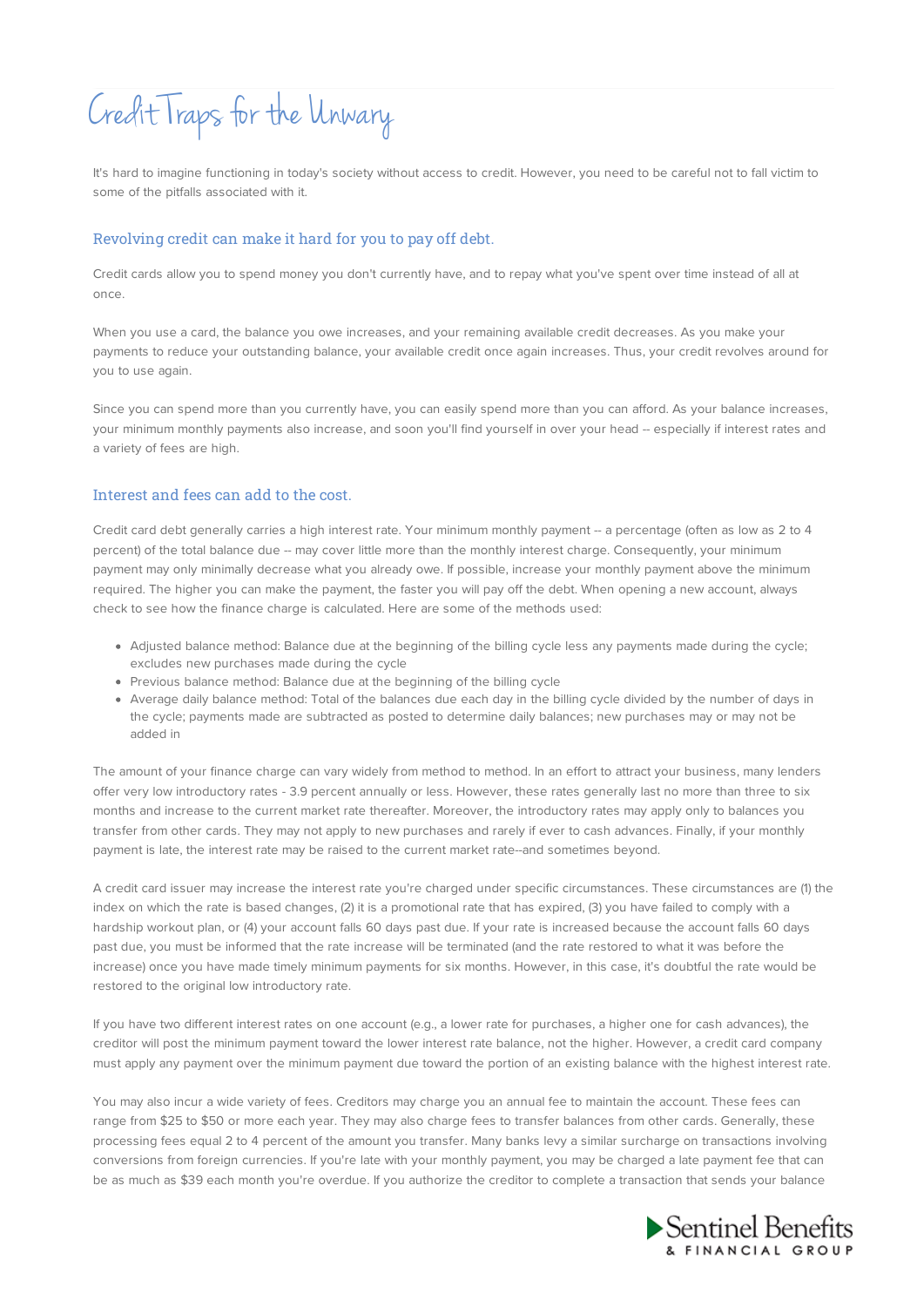# Credit Traps for the Unwary

It's hard to imagine functioning in today's society without access to credit. However, you need to be careful not to fall victim to some of the pitfalls associated with it.

#### Revolving credit can make it hard for you to pay off debt.

Credit cards allow you to spend money you don't currently have, and to repay what you've spent over time instead of all at once.

When you use a card, the balance you owe increases, and your remaining available credit decreases. As you make your payments to reduce your outstanding balance, your available credit once again increases. Thus, your credit revolves around for you to use again.

Since you can spend more than you currently have, you can easily spend more than you can afford. As your balance increases, your minimum monthly payments also increase, and soon you'll find yourself in over your head -- especially if interest rates and a variety of fees are high.

### Interest and fees can add to the cost.

Credit card debt generally carries a high interest rate. Your minimum monthly payment -- a percentage (often as low as 2 to 4 percent) of the total balance due -- may cover little more than the monthly interest charge. Consequently, your minimum payment may only minimally decrease what you already owe. If possible, increase your monthly payment above the minimum required. The higher you can make the payment, the faster you will pay off the debt. When opening a new account, always check to see how the finance charge is calculated. Here are some of the methods used:

- Adjusted balance method: Balance due at the beginning of the billing cycle less any payments made during the cycle; excludes new purchases made during the cycle
- Previous balance method: Balance due at the beginning of the billing cycle
- Average daily balance method: Total of the balances due each day in the billing cycle divided by the number of days in the cycle; payments made are subtracted as posted to determine daily balances; new purchases may or may not be added in

The amount of your finance charge can vary widely from method to method. In an effort to attract your business, many lenders offer very low introductory rates - 3.9 percent annually or less. However, these rates generally last no more than three to six months and increase to the current market rate thereafter. Moreover, the introductory rates may apply only to balances you transfer from other cards. They may not apply to new purchases and rarely if ever to cash advances. Finally, if your monthly payment is late, the interest rate may be raised to the current market rate--and sometimes beyond.

A credit card issuer may increase the interest rate you're charged under specific circumstances. These circumstances are (1) the index on which the rate is based changes, (2) it is a promotional rate that has expired, (3) you have failed to comply with a hardship workout plan, or (4) your account falls 60 days past due. If your rate is increased because the account falls 60 days past due, you must be informed that the rate increase will be terminated (and the rate restored to what it was before the increase) once you have made timely minimum payments for six months. However, in this case, it's doubtful the rate would be restored to the original low introductory rate.

If you have two different interest rates on one account (e.g., a lower rate for purchases, a higher one for cash advances), the creditor will post the minimum payment toward the lower interest rate balance, not the higher. However, a credit card company must apply any payment over the minimum payment due toward the portion of an existing balance with the highest interest rate.

You may also incur a wide variety of fees. Creditors may charge you an annual fee to maintain the account. These fees can range from \$25 to \$50 or more each year. They may also charge fees to transfer balances from other cards. Generally, these processing fees equal 2 to 4 percent of the amount you transfer. Many banks levy a similar surcharge on transactions involving conversions from foreign currencies. If you're late with your monthly payment, you may be charged a late payment fee that can be as much as \$39 each month you're overdue. If you authorize the creditor to complete a transaction that sends your balance

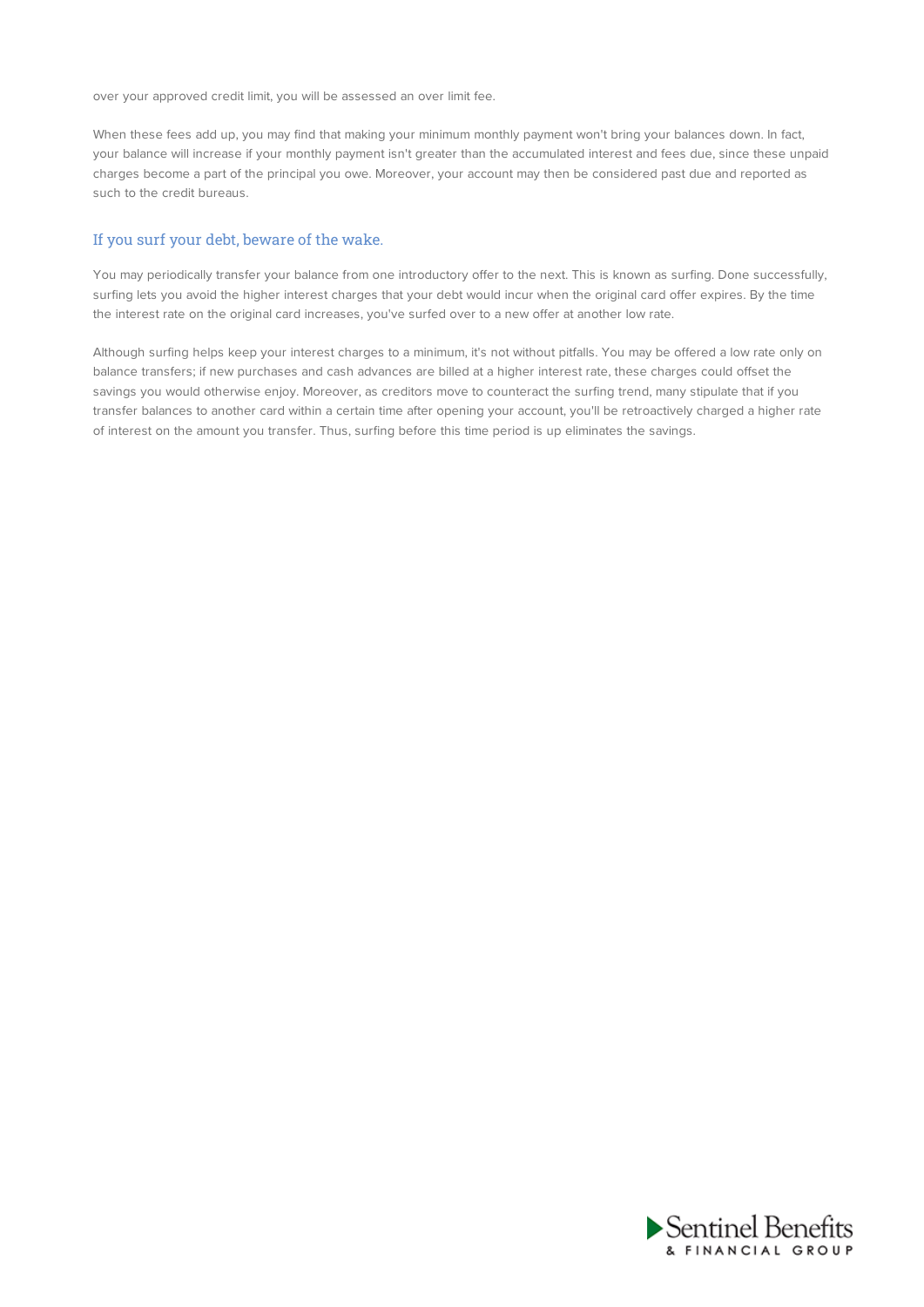over your approved credit limit, you will be assessed an over limit fee.

When these fees add up, you may find that making your minimum monthly payment won't bring your balances down. In fact, your balance will increase if your monthly payment isn't greater than the accumulated interest and fees due, since these unpaid charges become a part of the principal you owe. Moreover, your account may then be considered past due and reported as such to the credit bureaus.

#### If you surf your debt, beware of the wake.

You may periodically transfer your balance from one introductory offer to the next. This is known as surfing. Done successfully, surfing lets you avoid the higher interest charges that your debt would incur when the original card offer expires. By the time the interest rate on the original card increases, you've surfed over to a new offer at another low rate.

Although surfing helps keep your interest charges to a minimum, it's not without pitfalls. You may be offered a low rate only on balance transfers; if new purchases and cash advances are billed at a higher interest rate, these charges could offset the savings you would otherwise enjoy. Moreover, as creditors move to counteract the surfing trend, many stipulate that if you transfer balances to another card within a certain time after opening your account, you'll be retroactively charged a higher rate of interest on the amount you transfer. Thus, surfing before this time period is up eliminates the savings.